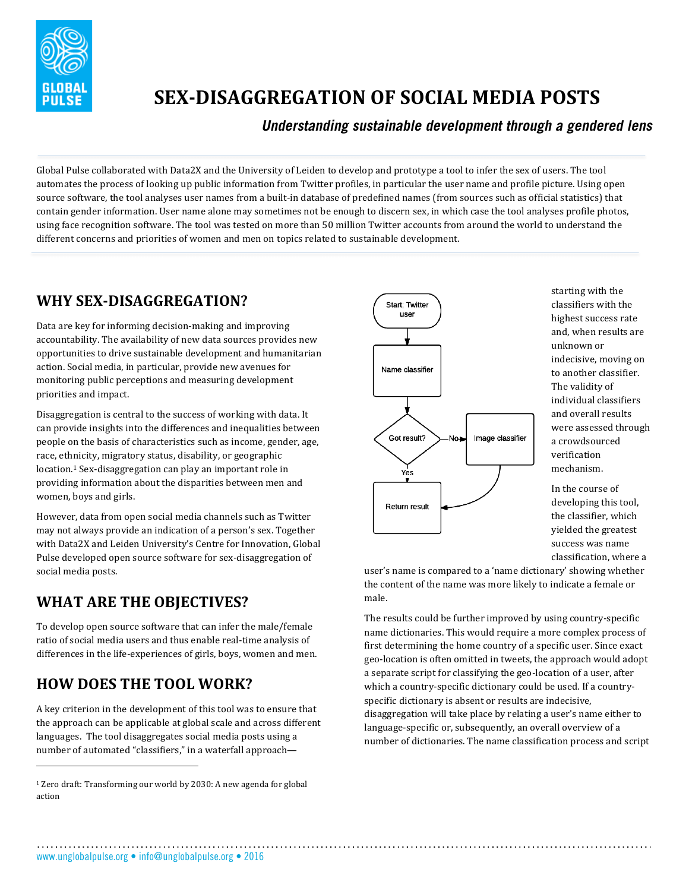

# **SEX-DISAGGREGATION OF SOCIAL MEDIA POSTS**

#### *Understanding sustainable development through a gendered lens*

Global Pulse collaborated with Data2X and the University of Leiden to develop and prototype a tool to infer the sex of users. The tool automates the process of looking up public information from Twitter profiles, in particular the user name and profile picture. Using open source software, the tool analyses user names from a built-in database of predefined names (from sources such as official statistics) that contain gender information. User name alone may sometimes not be enough to discern sex, in which case the tool analyses profile photos, using face recognition software. The tool was tested on more than 50 million Twitter accounts from around the world to understand the different concerns and priorities of women and men on topics related to sustainable development.

#### **WHY SEX-DISAGGREGATION?**

Data are key for informing decision-making and improving accountability. The availability of new data sources provides new opportunities to drive sustainable development and humanitarian action. Social media, in particular, provide new avenues for monitoring public perceptions and measuring development priorities and impact.

Disaggregation is central to the success of working with data. It can provide insights into the differences and inequalities between people on the basis of characteristics such as income, gender, age, race, ethnicity, migratory status, disability, or geographic location.<sup>1</sup> Sex-disaggregation can play an important role in providing information about the disparities between men and women, boys and girls.

However, data from open social media channels such as Twitter may not always provide an indication of a person's sex. Together with Data2X and Leiden University's Centre for Innovation, Global Pulse developed open source software for sex-disaggregation of social media posts.

## WHAT ARE THE OBJECTIVES?

To develop open source software that can infer the male/female ratio of social media users and thus enable real-time analysis of differences in the life-experiences of girls, boys, women and men.

## **HOW DOES THE TOOL WORK?**

 

A key criterion in the development of this tool was to ensure that the approach can be applicable at global scale and across different languages. The tool disaggregates social media posts using a number of automated "classifiers," in a waterfall approach—



starting with the classifiers with the highest success rate and, when results are unknown or indecisive, moving on to another classifier. The validity of individual classifiers and overall results were assessed through a crowdsourced verification mechanism.

In the course of developing this tool, the classifier, which yielded the greatest success was name classification, where a

user's name is compared to a 'name dictionary' showing whether the content of the name was more likely to indicate a female or male. 

The results could be further improved by using country-specific name dictionaries. This would require a more complex process of first determining the home country of a specific user. Since exact geo-location is often omitted in tweets, the approach would adopt a separate script for classifying the geo-location of a user, after which a country-specific dictionary could be used. If a countryspecific dictionary is absent or results are indecisive, disaggregation will take place by relating a user's name either to language-specific or, subsequently, an overall overview of a number of dictionaries. The name classification process and script

www.unglobalpulse.org • info@unglobalpulse.org • 2016

 $1$  Zero draft: Transforming our world by 2030: A new agenda for global action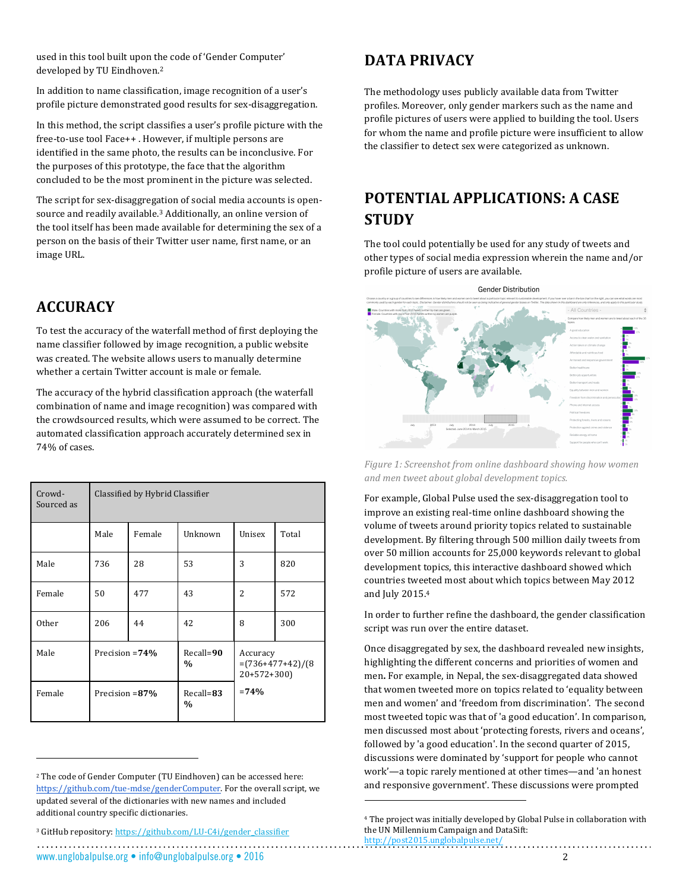used in this tool built upon the code of 'Gender Computer' developed by TU Eindhoven.<sup>2</sup>

In addition to name classification, image recognition of a user's profile picture demonstrated good results for sex-disaggregation.

In this method, the script classifies a user's profile picture with the free-to-use tool Face++ . However, if multiple persons are identified in the same photo, the results can be inconclusive. For the purposes of this prototype, the face that the algorithm concluded to be the most prominent in the picture was selected.

The script for sex-disaggregation of social media accounts is opensource and readily available.<sup>3</sup> Additionally, an online version of the tool itself has been made available for determining the sex of a person on the basis of their Twitter user name, first name, or an image URL.

#### **ACCURACY**

To test the accuracy of the waterfall method of first deploying the name classifier followed by image recognition, a public website was created. The website allows users to manually determine whether a certain Twitter account is male or female.

The accuracy of the hybrid classification approach (the waterfall combination of name and image recognition) was compared with the crowdsourced results, which were assumed to be correct. The automated classification approach accurately determined sex in 74% of cases.

| Crowd-<br>Sourced as | Classified by Hybrid Classifier |        |                                |                                                 |       |
|----------------------|---------------------------------|--------|--------------------------------|-------------------------------------------------|-------|
|                      | Male                            | Female | Unknown                        | Unisex                                          | Total |
| Male                 | 736                             | 28     | 53                             | 3                                               | 820   |
| Female               | 50                              | 477    | 43                             | $\overline{2}$                                  | 572   |
| <b>Other</b>         | 206                             | 44     | 42                             | 8                                               | 300   |
| Male                 | Precision $=74\%$               |        | $Recall = 90$<br>$\frac{0}{0}$ | Accuracy<br>$=(736+477+42)/(8)$<br>$20+572+300$ |       |
| Female               | Precision = 87%                 |        | Recall=83<br>$\frac{0}{0}$     | $=74%$                                          |       |

#### **DATA PRIVACY**

The methodology uses publicly available data from Twitter profiles. Moreover, only gender markers such as the name and profile pictures of users were applied to building the tool. Users for whom the name and profile picture were insufficient to allow the classifier to detect sex were categorized as unknown.

#### **POTENTIAL APPLICATIONS: A CASE STUDY**

The tool could potentially be used for any study of tweets and other types of social media expression wherein the name and/or profile picture of users are available.



Figure 1: Screenshot from online dashboard showing how women *and men tweet about global development topics.*

For example, Global Pulse used the sex-disaggregation tool to improve an existing real-time online dashboard showing the volume of tweets around priority topics related to sustainable development. By filtering through 500 million daily tweets from over 50 million accounts for 25,000 keywords relevant to global development topics, this interactive dashboard showed which countries tweeted most about which topics between May 2012 and July 2015.4

In order to further refine the dashboard, the gender classification script was run over the entire dataset.

Once disaggregated by sex, the dashboard revealed new insights, highlighting the different concerns and priorities of women and men. For example, in Nepal, the sex-disaggregated data showed that women tweeted more on topics related to 'equality between men and women' and 'freedom from discrimination'. The second most tweeted topic was that of 'a good education'. In comparison, men discussed most about 'protecting forests, rivers and oceans', followed by 'a good education'. In the second quarter of 2015, discussions were dominated by 'support for people who cannot work'—a topic rarely mentioned at other times—and 'an honest and responsive government'. These discussions were prompted

 

www.unglobalpulse.org • info@unglobalpulse.org • 2016 2

 

<sup>&</sup>lt;sup>2</sup> The code of Gender Computer (TU Eindhoven) can be accessed here: https://github.com/tue-mdse/genderComputer. For the overall script, we updated several of the dictionaries with new names and included additional country specific dictionaries.

<sup>&</sup>lt;sup>3</sup> GitHub repository: https://github.com/LU-C4i/gender\_classifier

<sup>&</sup>lt;sup>4</sup> The project was initially developed by Global Pulse in collaboration with the UN Millennium Campaign and DataSift: http://post2015.unglobalpulse.net/<br>http://post2015.unglobalpulse.net/